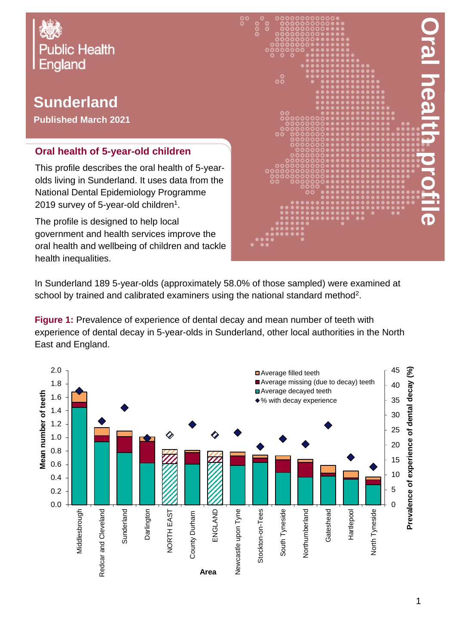

## **Sunderland**

**Published March 2021**

## **Oral health of 5-year-old children**

This profile describes the oral health of 5-yearolds living in Sunderland. It uses data from the National Dental Epidemiology Programme 2019 survey of 5-year-old children $^{\rm 1}.$ 

The profile is designed to help local government and health services improve the oral health and wellbeing of children and tackle health inequalities.



In Sunderland 189 5-year-olds (approximately 58.0% of those sampled) were examined at school by trained and calibrated examiners using the national standard method<sup>2</sup>.

**Figure 1:** Prevalence of experience of dental decay and mean number of teeth with experience of dental decay in 5-year-olds in Sunderland, other local authorities in the North East and England.

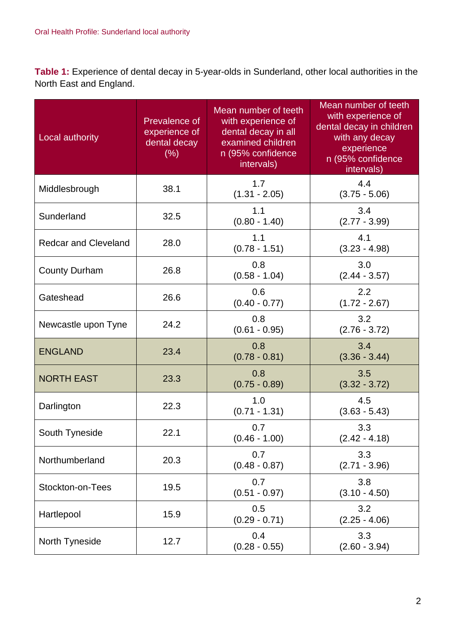**Table 1:** Experience of dental decay in 5-year-olds in Sunderland, other local authorities in the North East and England.

| Local authority             | Prevalence of<br>experience of<br>dental decay<br>(% ) | Mean number of teeth<br>with experience of<br>dental decay in all<br>examined children<br>n (95% confidence<br>intervals) | Mean number of teeth<br>with experience of<br>dental decay in children<br>with any decay<br>experience<br>n (95% confidence<br>intervals) |
|-----------------------------|--------------------------------------------------------|---------------------------------------------------------------------------------------------------------------------------|-------------------------------------------------------------------------------------------------------------------------------------------|
| Middlesbrough               | 38.1                                                   | 1.7<br>$(1.31 - 2.05)$                                                                                                    | 4.4<br>$(3.75 - 5.06)$                                                                                                                    |
| Sunderland                  | 32.5                                                   | 1.1<br>$(0.80 - 1.40)$                                                                                                    | 3.4<br>$(2.77 - 3.99)$                                                                                                                    |
| <b>Redcar and Cleveland</b> | 28.0                                                   | 1.1<br>$(0.78 - 1.51)$                                                                                                    | 4.1<br>$(3.23 - 4.98)$                                                                                                                    |
| <b>County Durham</b>        | 26.8                                                   | 0.8<br>$(0.58 - 1.04)$                                                                                                    | 3.0<br>$(2.44 - 3.57)$                                                                                                                    |
| Gateshead                   | 26.6                                                   | 0.6<br>$(0.40 - 0.77)$                                                                                                    | 2.2<br>$(1.72 - 2.67)$                                                                                                                    |
| Newcastle upon Tyne         | 24.2                                                   | 0.8<br>$(0.61 - 0.95)$                                                                                                    | 3.2<br>$(2.76 - 3.72)$                                                                                                                    |
| <b>ENGLAND</b>              | 23.4                                                   | 0.8<br>$(0.78 - 0.81)$                                                                                                    | 3.4<br>$(3.36 - 3.44)$                                                                                                                    |
| <b>NORTH EAST</b>           | 23.3                                                   | 0.8<br>$(0.75 - 0.89)$                                                                                                    | 3.5<br>$(3.32 - 3.72)$                                                                                                                    |
| Darlington                  | 22.3                                                   | 1.0<br>$(0.71 - 1.31)$                                                                                                    | 4.5<br>$(3.63 - 5.43)$                                                                                                                    |
| South Tyneside              | 22.1                                                   | 0.7<br>$(0.46 - 1.00)$                                                                                                    | 3.3<br>$(2.42 - 4.18)$                                                                                                                    |
| Northumberland              | 20.3                                                   | 0.7<br>$(0.48 - 0.87)$                                                                                                    | 3.3<br>$(2.71 - 3.96)$                                                                                                                    |
| Stockton-on-Tees            | 19.5                                                   | 0.7<br>$(0.51 - 0.97)$                                                                                                    | 3.8<br>$(3.10 - 4.50)$                                                                                                                    |
| Hartlepool                  | 15.9                                                   | 0.5<br>$(0.29 - 0.71)$                                                                                                    | 3.2<br>$(2.25 - 4.06)$                                                                                                                    |
| North Tyneside              | 12.7                                                   | 0.4<br>$(0.28 - 0.55)$                                                                                                    | 3.3<br>$(2.60 - 3.94)$                                                                                                                    |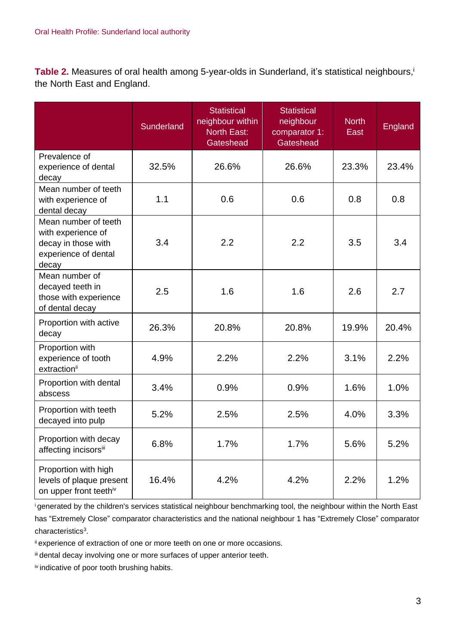Table 2. Measures of oral health among 5-year-olds in Sunderland, it's statistical neighbours, the North East and England.

|                                                                                                    | <b>Sunderland</b> | <b>Statistical</b><br>neighbour within<br><b>North East:</b><br>Gateshead | <b>Statistical</b><br>neighbour<br>comparator 1:<br>Gateshead | <b>North</b><br>East | England |
|----------------------------------------------------------------------------------------------------|-------------------|---------------------------------------------------------------------------|---------------------------------------------------------------|----------------------|---------|
| Prevalence of<br>experience of dental<br>decay                                                     | 32.5%             | 26.6%                                                                     | 26.6%                                                         | 23.3%                | 23.4%   |
| Mean number of teeth<br>with experience of<br>dental decay                                         | 1.1               | 0.6                                                                       | 0.6                                                           | 0.8                  | 0.8     |
| Mean number of teeth<br>with experience of<br>decay in those with<br>experience of dental<br>decay | 3.4               | 2.2                                                                       | 2.2                                                           | 3.5                  | 3.4     |
| Mean number of<br>decayed teeth in<br>those with experience<br>of dental decay                     | 2.5               | 1.6                                                                       | 1.6                                                           | 2.6                  | 2.7     |
| Proportion with active<br>decay                                                                    | 26.3%             | 20.8%                                                                     | 20.8%                                                         | 19.9%                | 20.4%   |
| Proportion with<br>experience of tooth<br>extractionii                                             | 4.9%              | 2.2%                                                                      | 2.2%                                                          | 3.1%                 | 2.2%    |
| Proportion with dental<br>abscess                                                                  | 3.4%              | 0.9%                                                                      | 0.9%                                                          | 1.6%                 | 1.0%    |
| Proportion with teeth<br>decayed into pulp                                                         | 5.2%              | 2.5%                                                                      | 2.5%                                                          | 4.0%                 | 3.3%    |
| Proportion with decay<br>affecting incisorsiii                                                     | 6.8%              | 1.7%                                                                      | 1.7%                                                          | 5.6%                 | 5.2%    |
| Proportion with high<br>levels of plaque present<br>on upper front teethiv                         | 16.4%             | 4.2%                                                                      | 4.2%                                                          | 2.2%                 | 1.2%    |

<sup>i</sup>generated by the children's services statistical neighbour benchmarking tool, the neighbour within the North East has "Extremely Close" comparator characteristics and the national neighbour 1 has "Extremely Close" comparator characteristics<sup>3</sup>.

ii experience of extraction of one or more teeth on one or more occasions.

iii dental decay involving one or more surfaces of upper anterior teeth.

iv indicative of poor tooth brushing habits.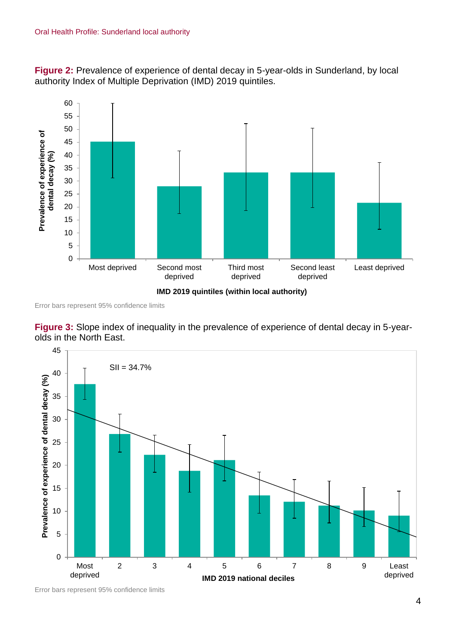**Figure 2:** Prevalence of experience of dental decay in 5-year-olds in Sunderland, by local authority Index of Multiple Deprivation (IMD) 2019 quintiles.



Error bars represent 95% confidence limits





Error bars represent 95% confidence limits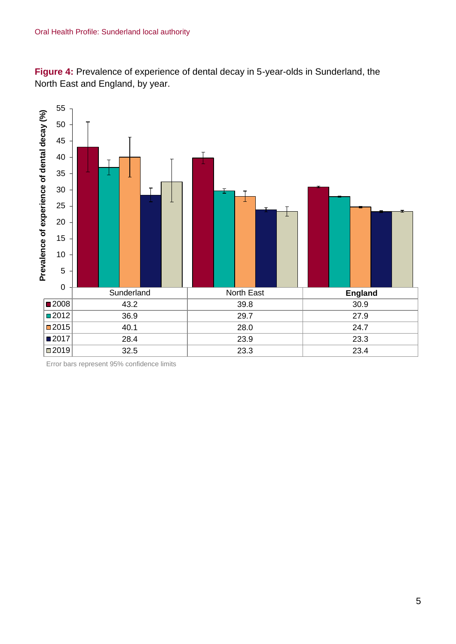**Figure 4:** Prevalence of experience of dental decay in 5-year-olds in Sunderland, the North East and England, by year.



Error bars represent 95% confidence limits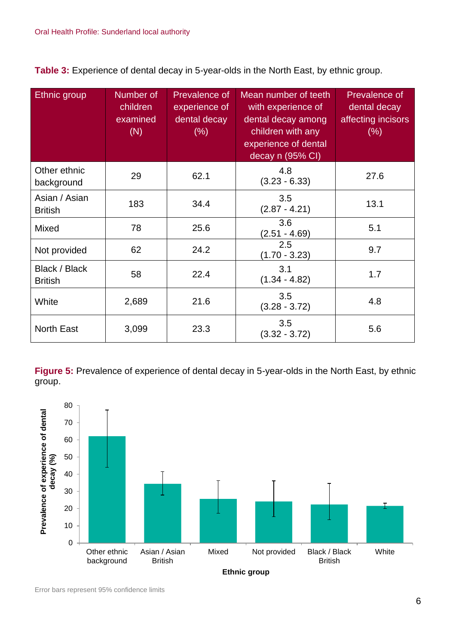**Table 3:** Experience of dental decay in 5-year-olds in the North East, by ethnic group.

| <b>Ethnic</b> group             | Number of<br>children<br>examined<br>(N) | <b>Prevalence of</b><br>experience of<br>dental decay<br>$(\% )$ | Mean number of teeth<br>with experience of<br>dental decay among<br>children with any<br>experience of dental<br>decay n (95% CI) | <b>Prevalence of</b><br>dental decay<br>affecting incisors<br>(% ) |
|---------------------------------|------------------------------------------|------------------------------------------------------------------|-----------------------------------------------------------------------------------------------------------------------------------|--------------------------------------------------------------------|
| Other ethnic<br>background      | 29                                       | 62.1                                                             | 4.8<br>$(3.23 - 6.33)$                                                                                                            | 27.6                                                               |
| Asian / Asian<br><b>British</b> | 183                                      | 34.4                                                             | 3.5<br>$(2.87 - 4.21)$                                                                                                            | 13.1                                                               |
| Mixed                           | 78                                       | 25.6                                                             | 3.6<br>$(2.51 - 4.69)$                                                                                                            | 5.1                                                                |
| Not provided                    | 62                                       | 24.2                                                             | 2.5<br>$(1.70 - 3.23)$                                                                                                            | 9.7                                                                |
| Black / Black<br><b>British</b> | 58                                       | 22.4                                                             | 3.1<br>$(1.34 - 4.82)$                                                                                                            | 1.7                                                                |
| White                           | 2,689                                    | 21.6                                                             | 3.5<br>$(3.28 - 3.72)$                                                                                                            | 4.8                                                                |
| <b>North East</b>               | 3,099                                    | 23.3                                                             | 3.5<br>$(3.32 - 3.72)$                                                                                                            | 5.6                                                                |

**Figure 5:** Prevalence of experience of dental decay in 5-year-olds in the North East, by ethnic group.

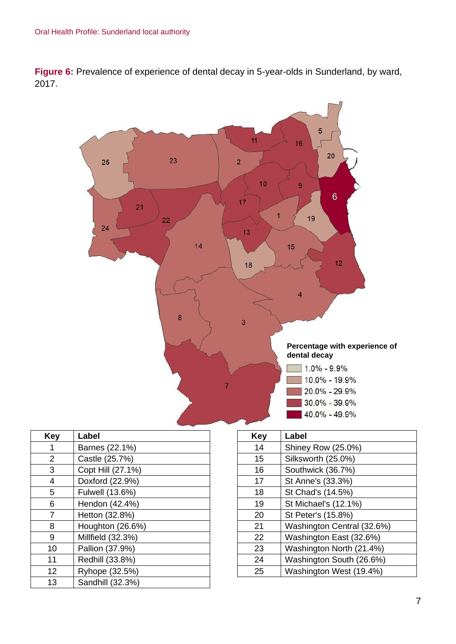**Figure 6:** Prevalence of experience of dental decay in 5-year-olds in Sunderland, by ward, 2017.



| Key | Label             |
|-----|-------------------|
|     | Barnes (22.1%)    |
| 2   | Castle (25.7%)    |
| 3   | Copt Hill (27.1%) |
| 4   | Doxford (22.9%)   |
| 5   | Fulwell (13.6%)   |
| 6   | Hendon (42.4%)    |
| 7   | Hetton (32.8%)    |
| 8   | Houghton (26.6%)  |
| 9   | Millfield (32.3%) |
| 10  | Pallion (37.9%)   |
| 11  | Redhill (33.8%)   |
| 12  | Ryhope (32.5%)    |
| 13  | Sandhill (32.3%)  |

| Key | Label                      |
|-----|----------------------------|
| 14  | Shiney Row (25.0%)         |
| 15  | Silksworth (25.0%)         |
| 16  | Southwick (36.7%)          |
| 17  | St Anne's (33.3%)          |
| 18  | St Chad's (14.5%)          |
| 19  | St Michael's (12.1%)       |
| 20  | St Peter's (15.8%)         |
| 21  | Washington Central (32.6%) |
| 22  | Washington East (32.6%)    |
| 23  | Washington North (21.4%)   |
| 24  | Washington South (26.6%)   |
| 25  | Washington West (19.4%)    |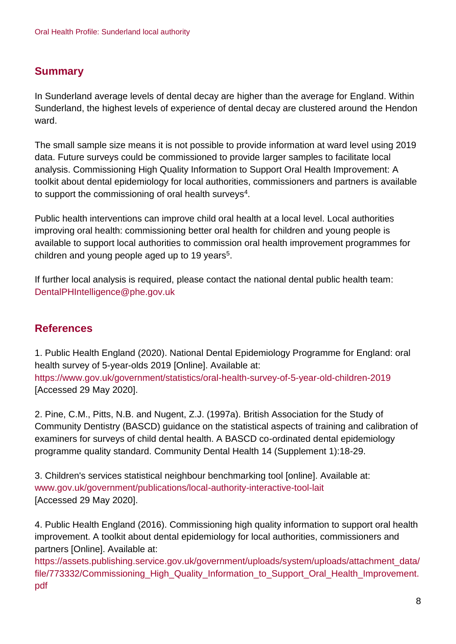## **Summary**

In Sunderland average levels of dental decay are higher than the average for England. Within Sunderland, the highest levels of experience of dental decay are clustered around the Hendon ward.

The small sample size means it is not possible to provide information at ward level using 2019 data. Future surveys could be commissioned to provide larger samples to facilitate local analysis. Commissioning High Quality Information to Support Oral Health Improvement: A toolkit about dental epidemiology for local authorities, commissioners and partners is available to support the commissioning of oral health surveys $^4$ .

Public health interventions can improve child oral health at a local level. Local authorities improving oral health: commissioning better oral health for children and young people is available to support local authorities to commission oral health improvement programmes for children and young people aged up to 19 years<sup>5</sup>.

If further local analysis is required, please contact the national dental public health team: DentalPHIntelligence@phe.gov.uk

## **References**

1. Public Health England (2020). National Dental Epidemiology Programme for England: oral health survey of 5-year-olds 2019 [Online]. Available at: <https://www.gov.uk/government/statistics/oral-health-survey-of-5-year-old-children-2019> [Accessed 29 May 2020].

2. Pine, C.M., Pitts, N.B. and Nugent, Z.J. (1997a). British Association for the Study of Community Dentistry (BASCD) guidance on the statistical aspects of training and calibration of examiners for surveys of child dental health. A BASCD co-ordinated dental epidemiology programme quality standard. Community Dental Health 14 (Supplement 1):18-29.

3. Children's services statistical neighbour benchmarking tool [online]. Available at: [www.gov.uk/government/publications/local-authority-interactive-tool-lait](http://www.gov.uk/government/publications/local-authority-interactive-tool-lait) [Accessed 29 May 2020].

4. Public Health England (2016). Commissioning high quality information to support oral health improvement. A toolkit about dental epidemiology for local authorities, commissioners and partners [Online]. Available at:

[https://assets.publishing.service.gov.uk/government/uploads/system/uploads/attachment\\_data/](https://assets.publishing.service.gov.uk/government/uploads/system/uploads/attachment_data/file/773332/Commissioning_High_Quality_Information_to_Support_Oral_Health_Improvement.pdf) [file/773332/Commissioning\\_High\\_Quality\\_Information\\_to\\_Support\\_Oral\\_Health\\_Improvement.](https://assets.publishing.service.gov.uk/government/uploads/system/uploads/attachment_data/file/773332/Commissioning_High_Quality_Information_to_Support_Oral_Health_Improvement.pdf) [pdf](https://assets.publishing.service.gov.uk/government/uploads/system/uploads/attachment_data/file/773332/Commissioning_High_Quality_Information_to_Support_Oral_Health_Improvement.pdf)